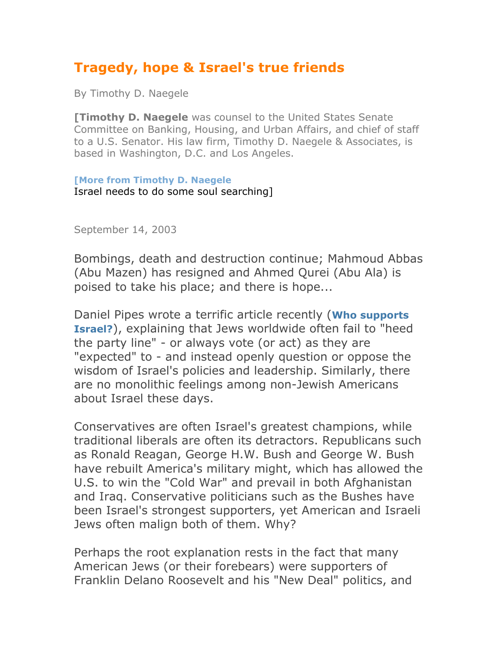## **Tragedy, hope & Israel's true friends**

By Timothy D. Naegele

**[Timothy D. Naegele** was counsel to the United States Senate Committee on Banking, Housing, and Urban Affairs, and chief of staff to a U.S. Senator. His law firm, Timothy D. Naegele & Associates, is based in Washington, D.C. and Los Angeles.

**[More from Timothy D. Naegele** Israel needs to do some soul searching]

September 14, 2003

Bombings, death and destruction continue; Mahmoud Abbas (Abu Mazen) has resigned and Ahmed Qurei (Abu Ala) is poised to take his place; and there is hope...

Daniel Pipes wrote a terrific article recently (**Who supports Israel?**), explaining that Jews worldwide often fail to "heed the party line" - or always vote (or act) as they are "expected" to - and instead openly question or oppose the wisdom of Israel's policies and leadership. Similarly, there are no monolithic feelings among non-Jewish Americans about Israel these days.

Conservatives are often Israel's greatest champions, while traditional liberals are often its detractors. Republicans such as Ronald Reagan, George H.W. Bush and George W. Bush have rebuilt America's military might, which has allowed the U.S. to win the "Cold War" and prevail in both Afghanistan and Iraq. Conservative politicians such as the Bushes have been Israel's strongest supporters, yet American and Israeli Jews often malign both of them. Why?

Perhaps the root explanation rests in the fact that many American Jews (or their forebears) were supporters of Franklin Delano Roosevelt and his "New Deal" politics, and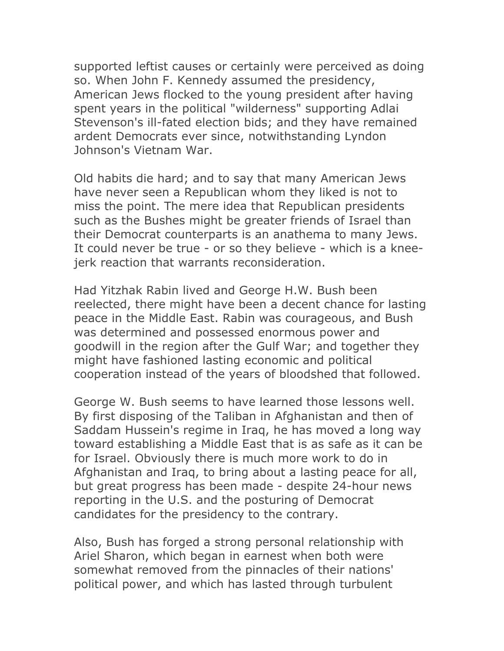supported leftist causes or certainly were perceived as doing so. When John F. Kennedy assumed the presidency, American Jews flocked to the young president after having spent years in the political "wilderness" supporting Adlai Stevenson's ill-fated election bids; and they have remained ardent Democrats ever since, notwithstanding Lyndon Johnson's Vietnam War.

Old habits die hard; and to say that many American Jews have never seen a Republican whom they liked is not to miss the point. The mere idea that Republican presidents such as the Bushes might be greater friends of Israel than their Democrat counterparts is an anathema to many Jews. It could never be true - or so they believe - which is a kneejerk reaction that warrants reconsideration.

Had Yitzhak Rabin lived and George H.W. Bush been reelected, there might have been a decent chance for lasting peace in the Middle East. Rabin was courageous, and Bush was determined and possessed enormous power and goodwill in the region after the Gulf War; and together they might have fashioned lasting economic and political cooperation instead of the years of bloodshed that followed.

George W. Bush seems to have learned those lessons well. By first disposing of the Taliban in Afghanistan and then of Saddam Hussein's regime in Iraq, he has moved a long way toward establishing a Middle East that is as safe as it can be for Israel. Obviously there is much more work to do in Afghanistan and Iraq, to bring about a lasting peace for all, but great progress has been made - despite 24-hour news reporting in the U.S. and the posturing of Democrat candidates for the presidency to the contrary.

Also, Bush has forged a strong personal relationship with Ariel Sharon, which began in earnest when both were somewhat removed from the pinnacles of their nations' political power, and which has lasted through turbulent